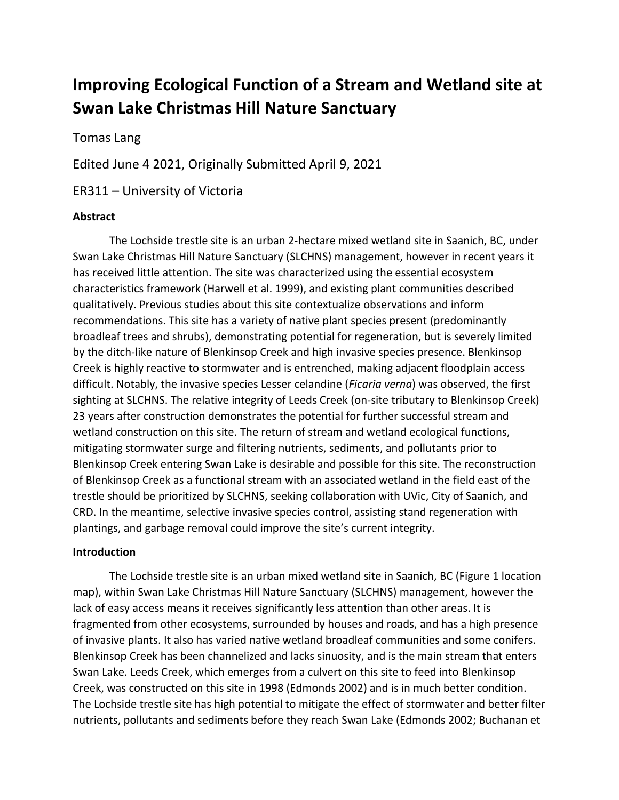# **Improving Ecological Function of a Stream and Wetland site at Swan Lake Christmas Hill Nature Sanctuary**

Tomas Lang

Edited June 4 2021, Originally Submitted April 9, 2021

ER311 – University of Victoria

#### **Abstract**

The Lochside trestle site is an urban 2-hectare mixed wetland site in Saanich, BC, under Swan Lake Christmas Hill Nature Sanctuary (SLCHNS) management, however in recent years it has received little attention. The site was characterized using the essential ecosystem characteristics framework (Harwell et al. 1999), and existing plant communities described qualitatively. Previous studies about this site contextualize observations and inform recommendations. This site has a variety of native plant species present (predominantly broadleaf trees and shrubs), demonstrating potential for regeneration, but is severely limited by the ditch-like nature of Blenkinsop Creek and high invasive species presence. Blenkinsop Creek is highly reactive to stormwater and is entrenched, making adjacent floodplain access difficult. Notably, the invasive species Lesser celandine (*Ficaria verna*) was observed, the first sighting at SLCHNS. The relative integrity of Leeds Creek (on-site tributary to Blenkinsop Creek) 23 years after construction demonstrates the potential for further successful stream and wetland construction on this site. The return of stream and wetland ecological functions, mitigating stormwater surge and filtering nutrients, sediments, and pollutants prior to Blenkinsop Creek entering Swan Lake is desirable and possible for this site. The reconstruction of Blenkinsop Creek as a functional stream with an associated wetland in the field east of the trestle should be prioritized by SLCHNS, seeking collaboration with UVic, City of Saanich, and CRD. In the meantime, selective invasive species control, assisting stand regeneration with plantings, and garbage removal could improve the site's current integrity.

#### **Introduction**

The Lochside trestle site is an urban mixed wetland site in Saanich, BC (Figure 1 location map), within Swan Lake Christmas Hill Nature Sanctuary (SLCHNS) management, however the lack of easy access means it receives significantly less attention than other areas. It is fragmented from other ecosystems, surrounded by houses and roads, and has a high presence of invasive plants. It also has varied native wetland broadleaf communities and some conifers. Blenkinsop Creek has been channelized and lacks sinuosity, and is the main stream that enters Swan Lake. Leeds Creek, which emerges from a culvert on this site to feed into Blenkinsop Creek, was constructed on this site in 1998 (Edmonds 2002) and is in much better condition. The Lochside trestle site has high potential to mitigate the effect of stormwater and better filter nutrients, pollutants and sediments before they reach Swan Lake (Edmonds 2002; Buchanan et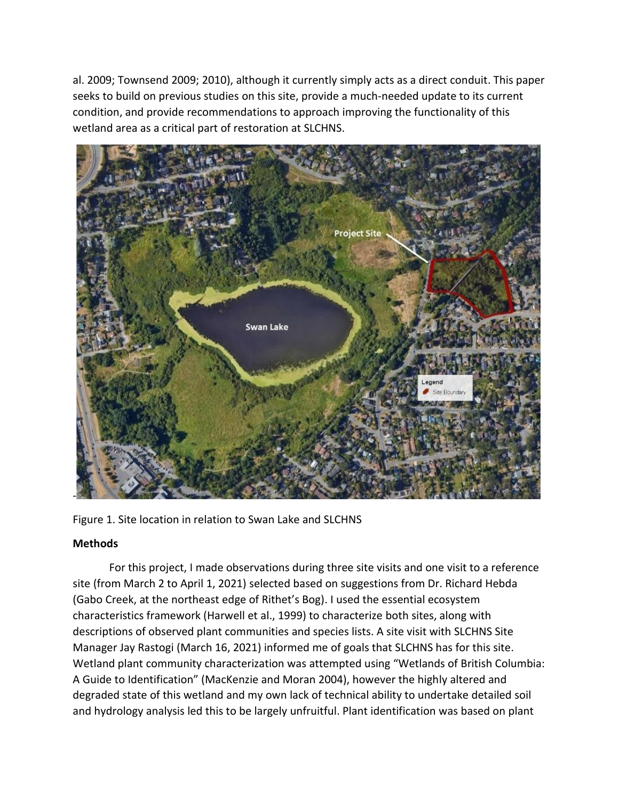al. 2009; Townsend 2009; 2010), although it currently simply acts as a direct conduit. This paper seeks to build on previous studies on this site, provide a much-needed update to its current condition, and provide recommendations to approach improving the functionality of this wetland area as a critical part of restoration at SLCHNS.



Figure 1. Site location in relation to Swan Lake and SLCHNS

### **Methods**

For this project, I made observations during three site visits and one visit to a reference site (from March 2 to April 1, 2021) selected based on suggestions from Dr. Richard Hebda (Gabo Creek, at the northeast edge of Rithet's Bog). I used the essential ecosystem characteristics framework (Harwell et al., 1999) to characterize both sites, along with descriptions of observed plant communities and species lists. A site visit with SLCHNS Site Manager Jay Rastogi (March 16, 2021) informed me of goals that SLCHNS has for this site. Wetland plant community characterization was attempted using "Wetlands of British Columbia: A Guide to Identification" (MacKenzie and Moran 2004), however the highly altered and degraded state of this wetland and my own lack of technical ability to undertake detailed soil and hydrology analysis led this to be largely unfruitful. Plant identification was based on plant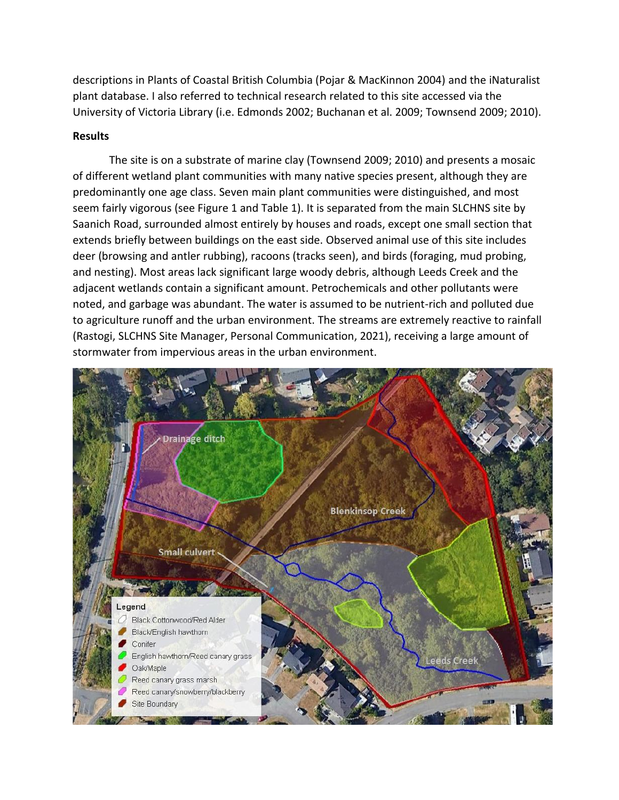descriptions in Plants of Coastal British Columbia (Pojar & MacKinnon 2004) and the iNaturalist plant database. I also referred to technical research related to this site accessed via the University of Victoria Library (i.e. Edmonds 2002; Buchanan et al. 2009; Townsend 2009; 2010).

#### **Results**

The site is on a substrate of marine clay (Townsend 2009; 2010) and presents a mosaic of different wetland plant communities with many native species present, although they are predominantly one age class. Seven main plant communities were distinguished, and most seem fairly vigorous (see Figure 1 and Table 1). It is separated from the main SLCHNS site by Saanich Road, surrounded almost entirely by houses and roads, except one small section that extends briefly between buildings on the east side. Observed animal use of this site includes deer (browsing and antler rubbing), racoons (tracks seen), and birds (foraging, mud probing, and nesting). Most areas lack significant large woody debris, although Leeds Creek and the adjacent wetlands contain a significant amount. Petrochemicals and other pollutants were noted, and garbage was abundant. The water is assumed to be nutrient-rich and polluted due to agriculture runoff and the urban environment. The streams are extremely reactive to rainfall (Rastogi, SLCHNS Site Manager, Personal Communication, 2021), receiving a large amount of stormwater from impervious areas in the urban environment.

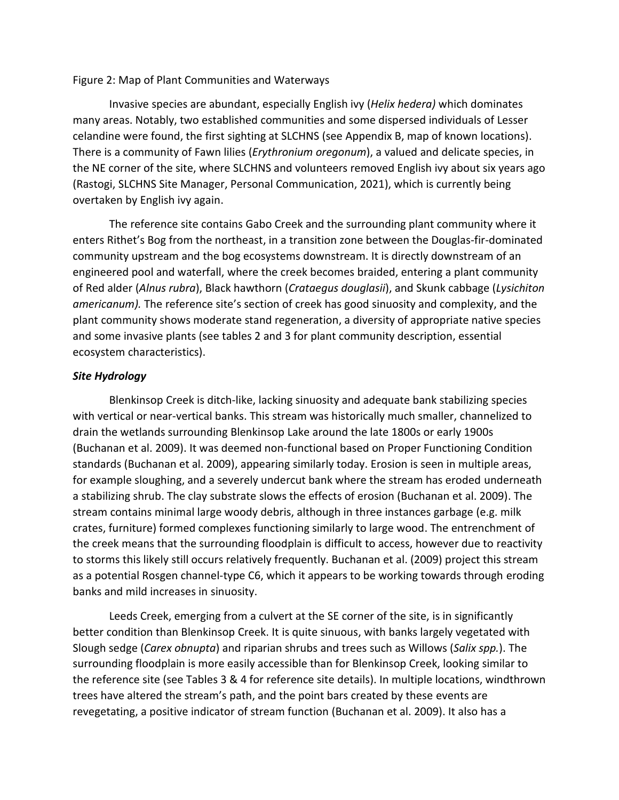#### Figure 2: Map of Plant Communities and Waterways

Invasive species are abundant, especially English ivy (*Helix hedera)* which dominates many areas. Notably, two established communities and some dispersed individuals of Lesser celandine were found, the first sighting at SLCHNS (see Appendix B, map of known locations). There is a community of Fawn lilies (*Erythronium oregonum*), a valued and delicate species, in the NE corner of the site, where SLCHNS and volunteers removed English ivy about six years ago (Rastogi, SLCHNS Site Manager, Personal Communication, 2021), which is currently being overtaken by English ivy again.

The reference site contains Gabo Creek and the surrounding plant community where it enters Rithet's Bog from the northeast, in a transition zone between the Douglas-fir-dominated community upstream and the bog ecosystems downstream. It is directly downstream of an engineered pool and waterfall, where the creek becomes braided, entering a plant community of Red alder (*Alnus rubra*), Black hawthorn (*Crataegus douglasii*), and Skunk cabbage (*Lysichiton americanum).* The reference site's section of creek has good sinuosity and complexity, and the plant community shows moderate stand regeneration, a diversity of appropriate native species and some invasive plants (see tables 2 and 3 for plant community description, essential ecosystem characteristics).

#### *Site Hydrology*

Blenkinsop Creek is ditch-like, lacking sinuosity and adequate bank stabilizing species with vertical or near-vertical banks. This stream was historically much smaller, channelized to drain the wetlands surrounding Blenkinsop Lake around the late 1800s or early 1900s (Buchanan et al. 2009). It was deemed non-functional based on Proper Functioning Condition standards (Buchanan et al. 2009), appearing similarly today. Erosion is seen in multiple areas, for example sloughing, and a severely undercut bank where the stream has eroded underneath a stabilizing shrub. The clay substrate slows the effects of erosion (Buchanan et al. 2009). The stream contains minimal large woody debris, although in three instances garbage (e.g. milk crates, furniture) formed complexes functioning similarly to large wood. The entrenchment of the creek means that the surrounding floodplain is difficult to access, however due to reactivity to storms this likely still occurs relatively frequently. Buchanan et al. (2009) project this stream as a potential Rosgen channel-type C6, which it appears to be working towards through eroding banks and mild increases in sinuosity.

Leeds Creek, emerging from a culvert at the SE corner of the site, is in significantly better condition than Blenkinsop Creek. It is quite sinuous, with banks largely vegetated with Slough sedge (*Carex obnupta*) and riparian shrubs and trees such as Willows (*Salix spp.*). The surrounding floodplain is more easily accessible than for Blenkinsop Creek, looking similar to the reference site (see Tables 3 & 4 for reference site details). In multiple locations, windthrown trees have altered the stream's path, and the point bars created by these events are revegetating, a positive indicator of stream function (Buchanan et al. 2009). It also has a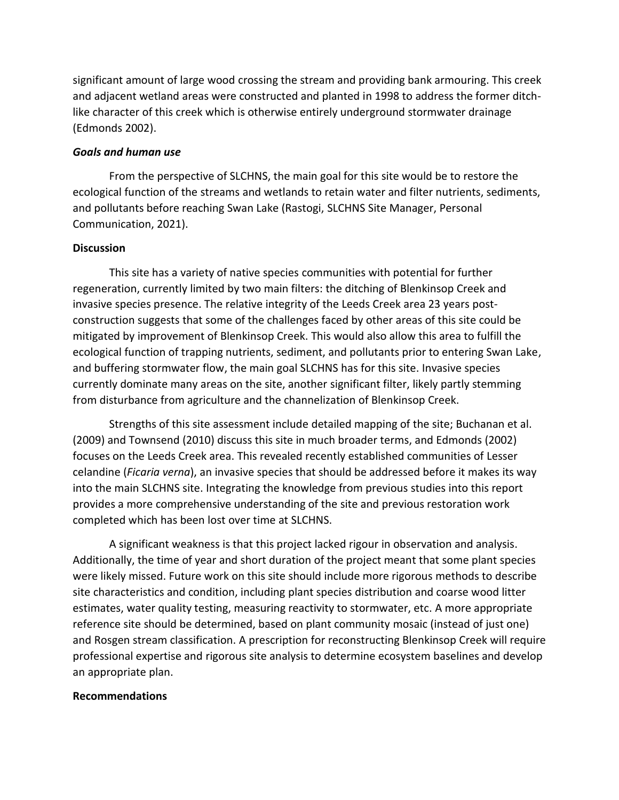significant amount of large wood crossing the stream and providing bank armouring. This creek and adjacent wetland areas were constructed and planted in 1998 to address the former ditchlike character of this creek which is otherwise entirely underground stormwater drainage (Edmonds 2002).

#### *Goals and human use*

From the perspective of SLCHNS, the main goal for this site would be to restore the ecological function of the streams and wetlands to retain water and filter nutrients, sediments, and pollutants before reaching Swan Lake (Rastogi, SLCHNS Site Manager, Personal Communication, 2021).

#### **Discussion**

This site has a variety of native species communities with potential for further regeneration, currently limited by two main filters: the ditching of Blenkinsop Creek and invasive species presence. The relative integrity of the Leeds Creek area 23 years postconstruction suggests that some of the challenges faced by other areas of this site could be mitigated by improvement of Blenkinsop Creek. This would also allow this area to fulfill the ecological function of trapping nutrients, sediment, and pollutants prior to entering Swan Lake, and buffering stormwater flow, the main goal SLCHNS has for this site. Invasive species currently dominate many areas on the site, another significant filter, likely partly stemming from disturbance from agriculture and the channelization of Blenkinsop Creek.

Strengths of this site assessment include detailed mapping of the site; Buchanan et al. (2009) and Townsend (2010) discuss this site in much broader terms, and Edmonds (2002) focuses on the Leeds Creek area. This revealed recently established communities of Lesser celandine (*Ficaria verna*), an invasive species that should be addressed before it makes its way into the main SLCHNS site. Integrating the knowledge from previous studies into this report provides a more comprehensive understanding of the site and previous restoration work completed which has been lost over time at SLCHNS.

A significant weakness is that this project lacked rigour in observation and analysis. Additionally, the time of year and short duration of the project meant that some plant species were likely missed. Future work on this site should include more rigorous methods to describe site characteristics and condition, including plant species distribution and coarse wood litter estimates, water quality testing, measuring reactivity to stormwater, etc. A more appropriate reference site should be determined, based on plant community mosaic (instead of just one) and Rosgen stream classification. A prescription for reconstructing Blenkinsop Creek will require professional expertise and rigorous site analysis to determine ecosystem baselines and develop an appropriate plan.

#### **Recommendations**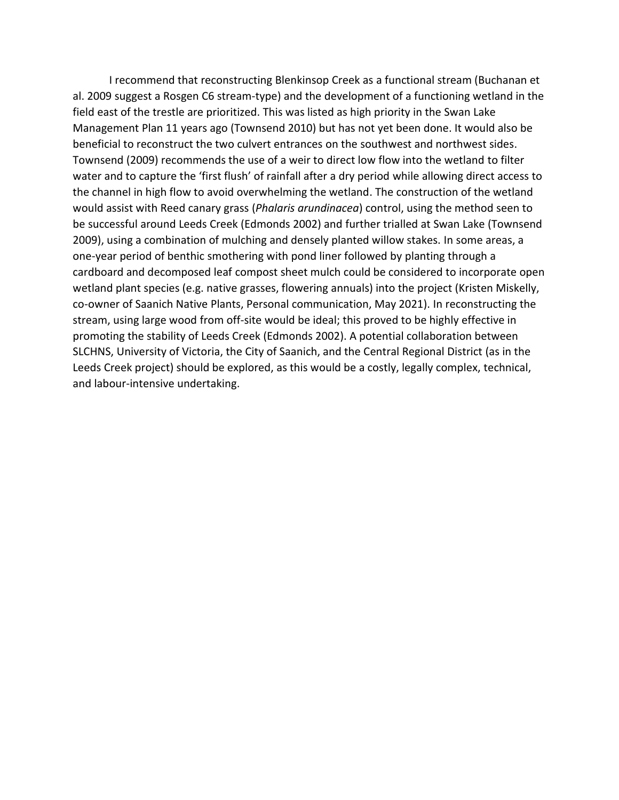I recommend that reconstructing Blenkinsop Creek as a functional stream (Buchanan et al. 2009 suggest a Rosgen C6 stream-type) and the development of a functioning wetland in the field east of the trestle are prioritized. This was listed as high priority in the Swan Lake Management Plan 11 years ago (Townsend 2010) but has not yet been done. It would also be beneficial to reconstruct the two culvert entrances on the southwest and northwest sides. Townsend (2009) recommends the use of a weir to direct low flow into the wetland to filter water and to capture the 'first flush' of rainfall after a dry period while allowing direct access to the channel in high flow to avoid overwhelming the wetland. The construction of the wetland would assist with Reed canary grass (*Phalaris arundinacea*) control, using the method seen to be successful around Leeds Creek (Edmonds 2002) and further trialled at Swan Lake (Townsend 2009), using a combination of mulching and densely planted willow stakes. In some areas, a one-year period of benthic smothering with pond liner followed by planting through a cardboard and decomposed leaf compost sheet mulch could be considered to incorporate open wetland plant species (e.g. native grasses, flowering annuals) into the project (Kristen Miskelly, co-owner of Saanich Native Plants, Personal communication, May 2021). In reconstructing the stream, using large wood from off-site would be ideal; this proved to be highly effective in promoting the stability of Leeds Creek (Edmonds 2002). A potential collaboration between SLCHNS, University of Victoria, the City of Saanich, and the Central Regional District (as in the Leeds Creek project) should be explored, as this would be a costly, legally complex, technical, and labour-intensive undertaking.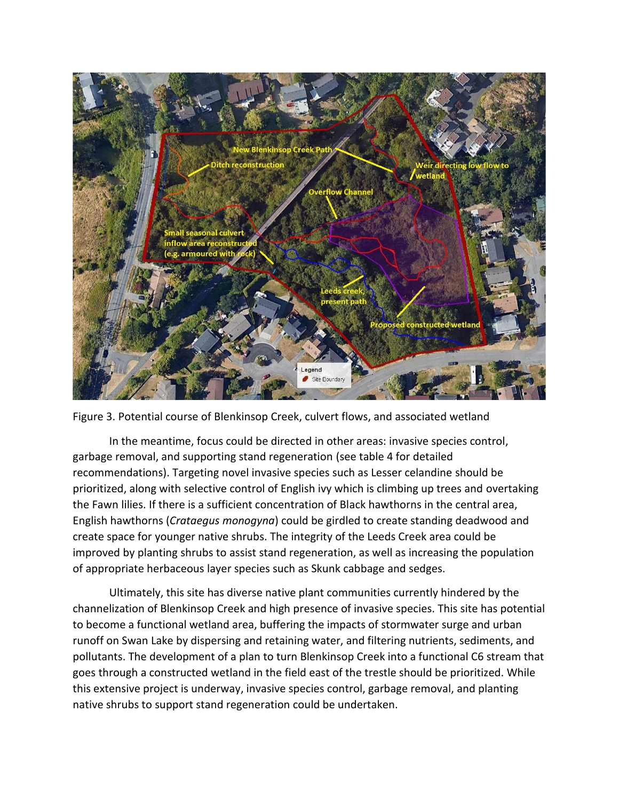



In the meantime, focus could be directed in other areas: invasive species control, garbage removal, and supporting stand regeneration (see table 4 for detailed recommendations). Targeting novel invasive species such as Lesser celandine should be prioritized, along with selective control of English ivy which is climbing up trees and overtaking the Fawn lilies. If there is a sufficient concentration of Black hawthorns in the central area, English hawthorns (*Crataegus monogyna*) could be girdled to create standing deadwood and create space for younger native shrubs. The integrity of the Leeds Creek area could be improved by planting shrubs to assist stand regeneration, as well as increasing the population of appropriate herbaceous layer species such as Skunk cabbage and sedges.

Ultimately, this site has diverse native plant communities currently hindered by the channelization of Blenkinsop Creek and high presence of invasive species. This site has potential to become a functional wetland area, buffering the impacts of stormwater surge and urban runoff on Swan Lake by dispersing and retaining water, and filtering nutrients, sediments, and pollutants. The development of a plan to turn Blenkinsop Creek into a functional C6 stream that goes through a constructed wetland in the field east of the trestle should be prioritized. While this extensive project is underway, invasive species control, garbage removal, and planting native shrubs to support stand regeneration could be undertaken.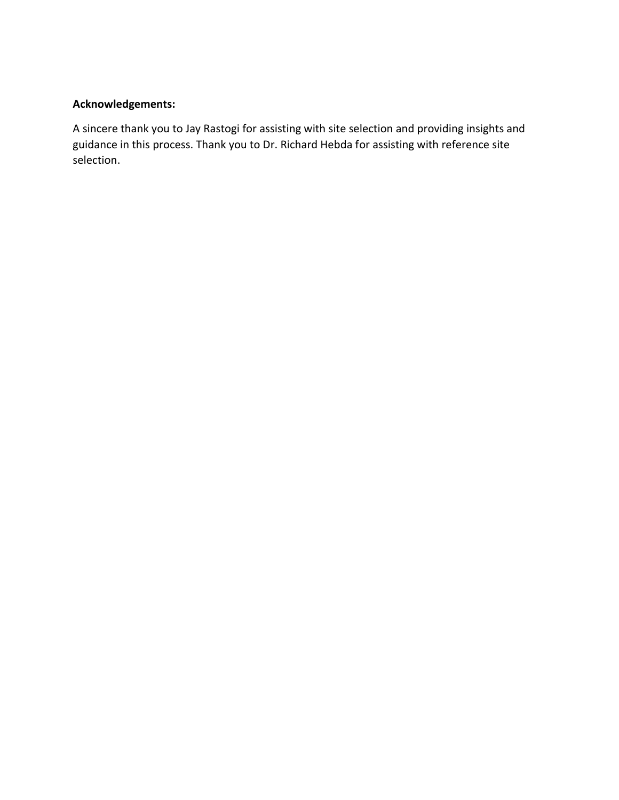### **Acknowledgements:**

A sincere thank you to Jay Rastogi for assisting with site selection and providing insights and guidance in this process. Thank you to Dr. Richard Hebda for assisting with reference site selection.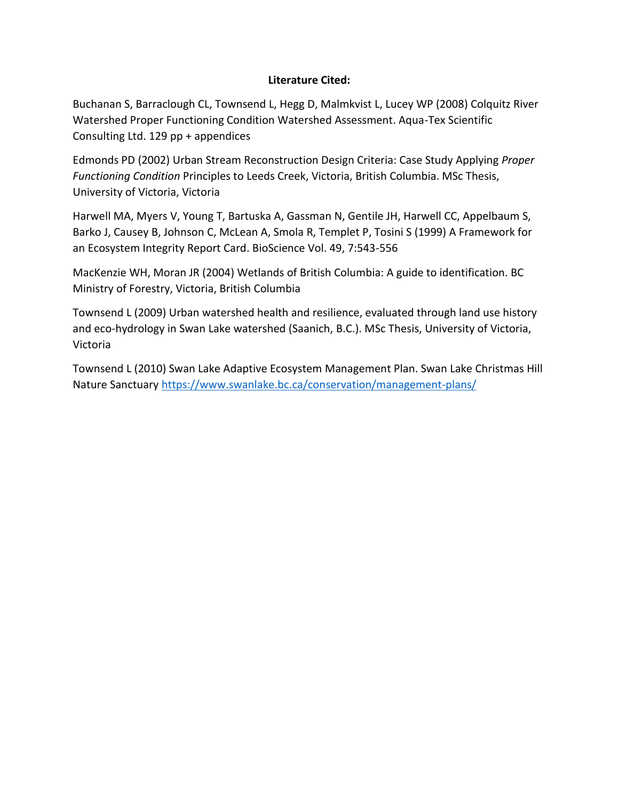#### **Literature Cited:**

Buchanan S, Barraclough CL, Townsend L, Hegg D, Malmkvist L, Lucey WP (2008) Colquitz River Watershed Proper Functioning Condition Watershed Assessment. Aqua-Tex Scientific Consulting Ltd. 129 pp + appendices

Edmonds PD (2002) Urban Stream Reconstruction Design Criteria: Case Study Applying *Proper Functioning Condition* Principles to Leeds Creek, Victoria, British Columbia. MSc Thesis, University of Victoria, Victoria

Harwell MA, Myers V, Young T, Bartuska A, Gassman N, Gentile JH, Harwell CC, Appelbaum S, Barko J, Causey B, Johnson C, McLean A, Smola R, Templet P, Tosini S (1999) A Framework for an Ecosystem Integrity Report Card. BioScience Vol. 49, 7:543-556

MacKenzie WH, Moran JR (2004) Wetlands of British Columbia: A guide to identification. BC Ministry of Forestry, Victoria, British Columbia

Townsend L (2009) Urban watershed health and resilience, evaluated through land use history and eco-hydrology in Swan Lake watershed (Saanich, B.C.). MSc Thesis, University of Victoria, Victoria

Townsend L (2010) Swan Lake Adaptive Ecosystem Management Plan. Swan Lake Christmas Hill Nature Sanctuar[y https://www.swanlake.bc.ca/conservation/management-plans/](https://www.swanlake.bc.ca/conservation/management-plans/)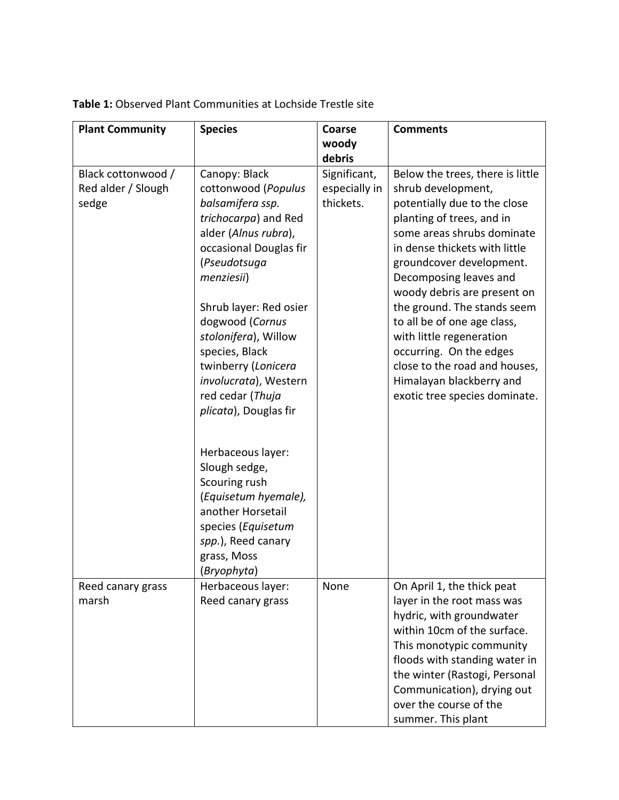| <b>Plant Community</b>                            | <b>Species</b>                                                                                                                                                                                                                                                                                                                                       | Coarse                                     | <b>Comments</b>                                                                                                                                                                                                                                                                                                                                                                                                                                                                            |
|---------------------------------------------------|------------------------------------------------------------------------------------------------------------------------------------------------------------------------------------------------------------------------------------------------------------------------------------------------------------------------------------------------------|--------------------------------------------|--------------------------------------------------------------------------------------------------------------------------------------------------------------------------------------------------------------------------------------------------------------------------------------------------------------------------------------------------------------------------------------------------------------------------------------------------------------------------------------------|
|                                                   |                                                                                                                                                                                                                                                                                                                                                      | woody                                      |                                                                                                                                                                                                                                                                                                                                                                                                                                                                                            |
|                                                   |                                                                                                                                                                                                                                                                                                                                                      | debris                                     |                                                                                                                                                                                                                                                                                                                                                                                                                                                                                            |
| Black cottonwood /<br>Red alder / Slough<br>sedge | Canopy: Black<br>cottonwood (Populus<br>balsamifera ssp.<br>trichocarpa) and Red<br>alder (Alnus rubra),<br>occasional Douglas fir<br>(Pseudotsuga<br>menziesii)<br>Shrub layer: Red osier<br>dogwood (Cornus<br>stolonifera), Willow<br>species, Black<br>twinberry (Lonicera<br>involucrata), Western<br>red cedar (Thuja<br>plicata), Douglas fir | Significant,<br>especially in<br>thickets. | Below the trees, there is little<br>shrub development,<br>potentially due to the close<br>planting of trees, and in<br>some areas shrubs dominate<br>in dense thickets with little<br>groundcover development.<br>Decomposing leaves and<br>woody debris are present on<br>the ground. The stands seem<br>to all be of one age class,<br>with little regeneration<br>occurring. On the edges<br>close to the road and houses,<br>Himalayan blackberry and<br>exotic tree species dominate. |
|                                                   | Herbaceous layer:<br>Slough sedge,<br>Scouring rush<br>(Equisetum hyemale),<br>another Horsetail<br>species (Equisetum<br>spp.), Reed canary<br>grass, Moss<br>(Bryophyta)                                                                                                                                                                           |                                            |                                                                                                                                                                                                                                                                                                                                                                                                                                                                                            |
| Reed canary grass<br>marsh                        | Herbaceous layer:<br>Reed canary grass                                                                                                                                                                                                                                                                                                               | None                                       | On April 1, the thick peat<br>layer in the root mass was<br>hydric, with groundwater<br>within 10cm of the surface.<br>This monotypic community<br>floods with standing water in<br>the winter (Rastogi, Personal<br>Communication), drying out<br>over the course of the<br>summer. This plant                                                                                                                                                                                            |

**Table 1:** Observed Plant Communities at Lochside Trestle site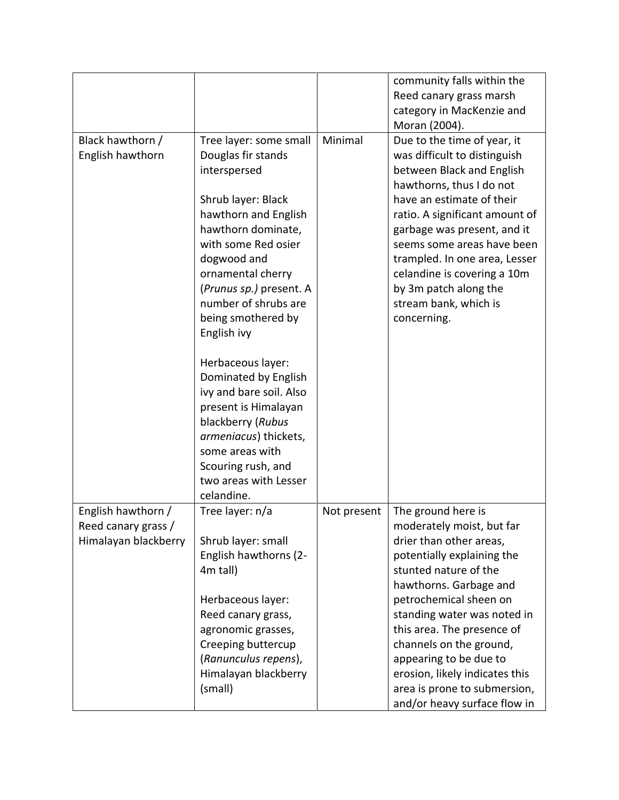|                                                                   |                                                                                                                                                                                                                                                                                     |             | community falls within the<br>Reed canary grass marsh<br>category in MacKenzie and<br>Moran (2004).                                                                                                                                                                                                                                                                                                       |
|-------------------------------------------------------------------|-------------------------------------------------------------------------------------------------------------------------------------------------------------------------------------------------------------------------------------------------------------------------------------|-------------|-----------------------------------------------------------------------------------------------------------------------------------------------------------------------------------------------------------------------------------------------------------------------------------------------------------------------------------------------------------------------------------------------------------|
| Black hawthorn /<br>English hawthorn                              | Tree layer: some small<br>Douglas fir stands<br>interspersed<br>Shrub layer: Black<br>hawthorn and English<br>hawthorn dominate,<br>with some Red osier<br>dogwood and<br>ornamental cherry<br>(Prunus sp.) present. A<br>number of shrubs are<br>being smothered by<br>English ivy | Minimal     | Due to the time of year, it<br>was difficult to distinguish<br>between Black and English<br>hawthorns, thus I do not<br>have an estimate of their<br>ratio. A significant amount of<br>garbage was present, and it<br>seems some areas have been<br>trampled. In one area, Lesser<br>celandine is covering a 10m<br>by 3m patch along the<br>stream bank, which is<br>concerning.                         |
|                                                                   | Herbaceous layer:<br>Dominated by English<br>ivy and bare soil. Also<br>present is Himalayan<br>blackberry (Rubus<br>armeniacus) thickets,<br>some areas with<br>Scouring rush, and<br>two areas with Lesser<br>celandine.                                                          |             |                                                                                                                                                                                                                                                                                                                                                                                                           |
| English hawthorn /<br>Reed canary grass /<br>Himalayan blackberry | Tree layer: n/a<br>Shrub layer: small<br>English hawthorns (2-<br>4m tall)<br>Herbaceous layer:<br>Reed canary grass,<br>agronomic grasses,<br>Creeping buttercup<br>(Ranunculus repens),<br>Himalayan blackberry<br>(small)                                                        | Not present | The ground here is<br>moderately moist, but far<br>drier than other areas,<br>potentially explaining the<br>stunted nature of the<br>hawthorns. Garbage and<br>petrochemical sheen on<br>standing water was noted in<br>this area. The presence of<br>channels on the ground,<br>appearing to be due to<br>erosion, likely indicates this<br>area is prone to submersion,<br>and/or heavy surface flow in |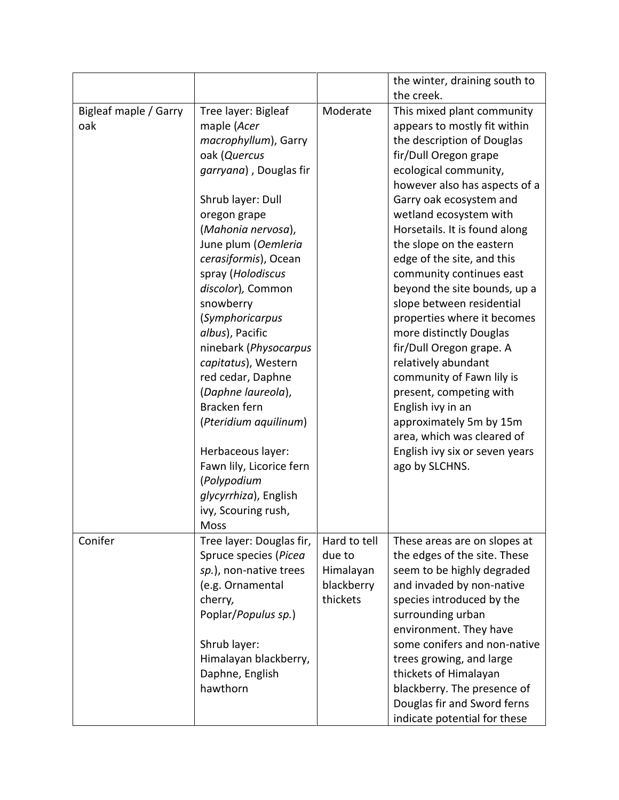|                              |                                    |              | the winter, draining south to                          |
|------------------------------|------------------------------------|--------------|--------------------------------------------------------|
|                              |                                    | Moderate     | the creek.<br>This mixed plant community               |
| Bigleaf maple / Garry<br>oak | Tree layer: Bigleaf<br>maple (Acer |              | appears to mostly fit within                           |
|                              |                                    |              |                                                        |
|                              | macrophyllum), Garry               |              | the description of Douglas                             |
|                              | oak (Quercus                       |              | fir/Dull Oregon grape                                  |
|                              | garryana), Douglas fir             |              | ecological community,                                  |
|                              |                                    |              | however also has aspects of a                          |
|                              | Shrub layer: Dull                  |              | Garry oak ecosystem and                                |
|                              | oregon grape                       |              | wetland ecosystem with                                 |
|                              | (Mahonia nervosa),                 |              | Horsetails. It is found along                          |
|                              | June plum (Oemleria                |              | the slope on the eastern                               |
|                              | cerasiformis), Ocean               |              | edge of the site, and this                             |
|                              | spray (Holodiscus                  |              | community continues east                               |
|                              | discolor), Common                  |              | beyond the site bounds, up a                           |
|                              | snowberry                          |              | slope between residential                              |
|                              | <i>(Symphoricarpus</i>             |              | properties where it becomes                            |
|                              | albus), Pacific                    |              | more distinctly Douglas                                |
|                              | ninebark (Physocarpus              |              | fir/Dull Oregon grape. A                               |
|                              | capitatus), Western                |              | relatively abundant                                    |
|                              | red cedar, Daphne                  |              | community of Fawn lily is                              |
|                              | (Daphne laureola),                 |              | present, competing with                                |
|                              | Bracken fern                       |              | English ivy in an                                      |
|                              | (Pteridium aquilinum)              |              | approximately 5m by 15m                                |
|                              |                                    |              | area, which was cleared of                             |
|                              | Herbaceous layer:                  |              | English ivy six or seven years                         |
|                              | Fawn lily, Licorice fern           |              | ago by SLCHNS.                                         |
|                              | (Polypodium                        |              |                                                        |
|                              | glycyrrhiza), English              |              |                                                        |
|                              | ivy, Scouring rush,                |              |                                                        |
|                              | Moss                               |              |                                                        |
| Conifer                      | Tree layer: Douglas fir,           | Hard to tell | These areas are on slopes at                           |
|                              | Spruce species (Picea              | due to       | the edges of the site. These                           |
|                              | sp.), non-native trees             | Himalayan    | seem to be highly degraded                             |
|                              | (e.g. Ornamental                   | blackberry   | and invaded by non-native                              |
|                              | cherry,                            | thickets     | species introduced by the                              |
|                              | Poplar/Populus sp.)                |              |                                                        |
|                              |                                    |              | surrounding urban                                      |
|                              |                                    |              | environment. They have<br>some conifers and non-native |
|                              | Shrub layer:                       |              |                                                        |
|                              | Himalayan blackberry,              |              | trees growing, and large                               |
|                              | Daphne, English                    |              | thickets of Himalayan                                  |
|                              | hawthorn                           |              | blackberry. The presence of                            |
|                              |                                    |              | Douglas fir and Sword ferns                            |
|                              |                                    |              | indicate potential for these                           |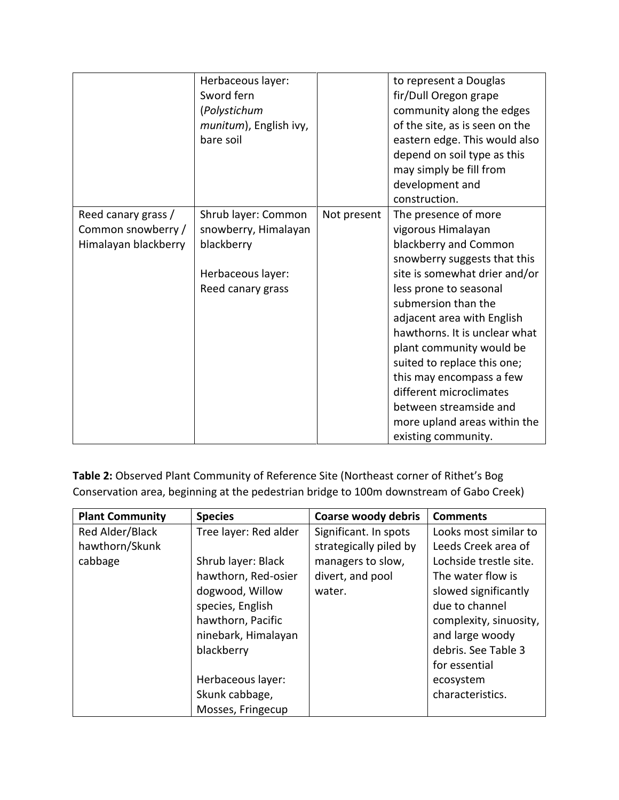|                                           | Herbaceous layer:<br>Sword fern<br>(Polystichum<br>munitum), English ivy,<br>bare soil |             | to represent a Douglas<br>fir/Dull Oregon grape<br>community along the edges<br>of the site, as is seen on the<br>eastern edge. This would also<br>depend on soil type as this<br>may simply be fill from<br>development and<br>construction. |
|-------------------------------------------|----------------------------------------------------------------------------------------|-------------|-----------------------------------------------------------------------------------------------------------------------------------------------------------------------------------------------------------------------------------------------|
| Reed canary grass /<br>Common snowberry / | Shrub layer: Common<br>snowberry, Himalayan                                            | Not present | The presence of more<br>vigorous Himalayan                                                                                                                                                                                                    |
| Himalayan blackberry                      | blackberry                                                                             |             | blackberry and Common                                                                                                                                                                                                                         |
|                                           |                                                                                        |             | snowberry suggests that this                                                                                                                                                                                                                  |
|                                           | Herbaceous layer:                                                                      |             | site is somewhat drier and/or                                                                                                                                                                                                                 |
|                                           | Reed canary grass                                                                      |             | less prone to seasonal                                                                                                                                                                                                                        |
|                                           |                                                                                        |             | submersion than the                                                                                                                                                                                                                           |
|                                           |                                                                                        |             | adjacent area with English                                                                                                                                                                                                                    |
|                                           |                                                                                        |             | hawthorns. It is unclear what                                                                                                                                                                                                                 |
|                                           |                                                                                        |             | plant community would be                                                                                                                                                                                                                      |
|                                           |                                                                                        |             | suited to replace this one;                                                                                                                                                                                                                   |
|                                           |                                                                                        |             | this may encompass a few                                                                                                                                                                                                                      |
|                                           |                                                                                        |             | different microclimates                                                                                                                                                                                                                       |
|                                           |                                                                                        |             | between streamside and                                                                                                                                                                                                                        |
|                                           |                                                                                        |             | more upland areas within the                                                                                                                                                                                                                  |
|                                           |                                                                                        |             | existing community.                                                                                                                                                                                                                           |

**Table 2:** Observed Plant Community of Reference Site (Northeast corner of Rithet's Bog Conservation area, beginning at the pedestrian bridge to 100m downstream of Gabo Creek)

| <b>Plant Community</b> | <b>Species</b>        | <b>Coarse woody debris</b> | <b>Comments</b>        |
|------------------------|-----------------------|----------------------------|------------------------|
| Red Alder/Black        | Tree layer: Red alder | Significant. In spots      | Looks most similar to  |
| hawthorn/Skunk         |                       | strategically piled by     | Leeds Creek area of    |
| cabbage                | Shrub layer: Black    | managers to slow,          | Lochside trestle site. |
|                        | hawthorn, Red-osier   | divert, and pool           | The water flow is      |
|                        | dogwood, Willow       | water.                     | slowed significantly   |
|                        | species, English      |                            | due to channel         |
|                        | hawthorn, Pacific     |                            | complexity, sinuosity, |
|                        | ninebark, Himalayan   |                            | and large woody        |
|                        | blackberry            |                            | debris. See Table 3    |
|                        |                       |                            | for essential          |
|                        | Herbaceous layer:     |                            | ecosystem              |
|                        | Skunk cabbage,        |                            | characteristics.       |
|                        | Mosses, Fringecup     |                            |                        |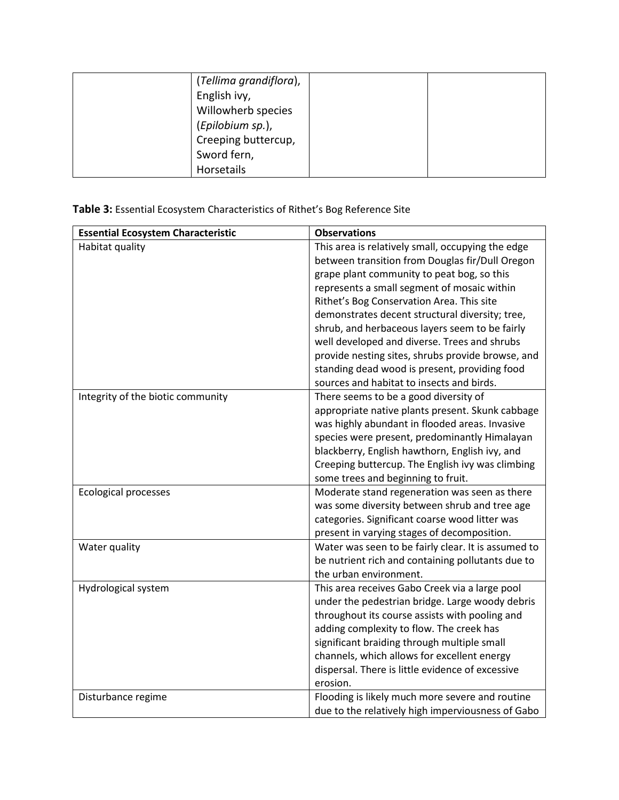| (Tellima grandiflora), |  |
|------------------------|--|
| English ivy,           |  |
| Willowherb species     |  |
| (Epilobium sp.),       |  |
| Creeping buttercup,    |  |
| Sword fern,            |  |
| Horsetails             |  |

# **Table 3:** Essential Ecosystem Characteristics of Rithet's Bog Reference Site

| <b>Essential Ecosystem Characteristic</b> | <b>Observations</b>                                                                                  |
|-------------------------------------------|------------------------------------------------------------------------------------------------------|
| Habitat quality                           | This area is relatively small, occupying the edge<br>between transition from Douglas fir/Dull Oregon |
|                                           | grape plant community to peat bog, so this                                                           |
|                                           | represents a small segment of mosaic within                                                          |
|                                           | Rithet's Bog Conservation Area. This site                                                            |
|                                           | demonstrates decent structural diversity; tree,                                                      |
|                                           | shrub, and herbaceous layers seem to be fairly                                                       |
|                                           | well developed and diverse. Trees and shrubs                                                         |
|                                           | provide nesting sites, shrubs provide browse, and                                                    |
|                                           | standing dead wood is present, providing food                                                        |
|                                           | sources and habitat to insects and birds.                                                            |
| Integrity of the biotic community         | There seems to be a good diversity of                                                                |
|                                           | appropriate native plants present. Skunk cabbage                                                     |
|                                           | was highly abundant in flooded areas. Invasive                                                       |
|                                           | species were present, predominantly Himalayan                                                        |
|                                           | blackberry, English hawthorn, English ivy, and                                                       |
|                                           | Creeping buttercup. The English ivy was climbing                                                     |
|                                           | some trees and beginning to fruit.                                                                   |
| <b>Ecological processes</b>               | Moderate stand regeneration was seen as there<br>was some diversity between shrub and tree age       |
|                                           | categories. Significant coarse wood litter was                                                       |
|                                           | present in varying stages of decomposition.                                                          |
| Water quality                             | Water was seen to be fairly clear. It is assumed to                                                  |
|                                           | be nutrient rich and containing pollutants due to                                                    |
|                                           | the urban environment.                                                                               |
| Hydrological system                       | This area receives Gabo Creek via a large pool                                                       |
|                                           | under the pedestrian bridge. Large woody debris                                                      |
|                                           | throughout its course assists with pooling and                                                       |
|                                           | adding complexity to flow. The creek has                                                             |
|                                           | significant braiding through multiple small                                                          |
|                                           | channels, which allows for excellent energy                                                          |
|                                           | dispersal. There is little evidence of excessive                                                     |
|                                           | erosion.                                                                                             |
| Disturbance regime                        | Flooding is likely much more severe and routine                                                      |
|                                           | due to the relatively high imperviousness of Gabo                                                    |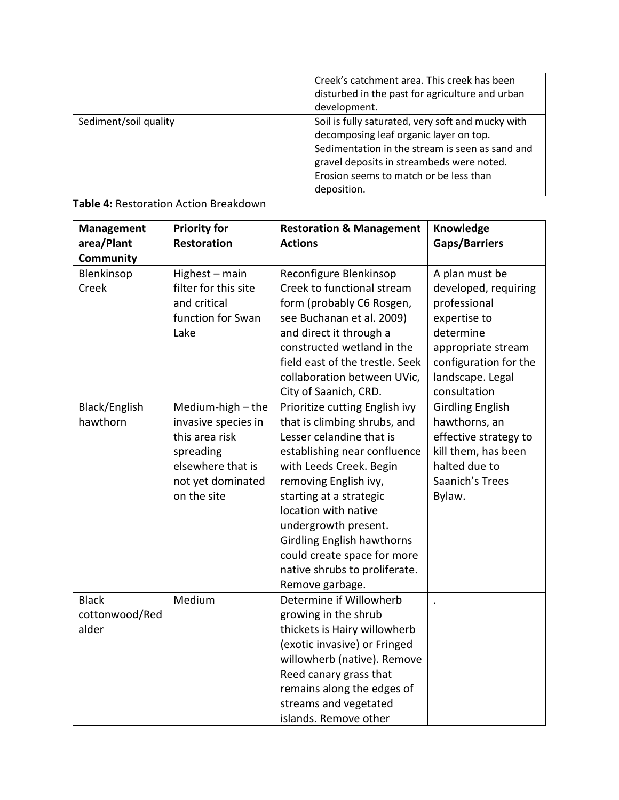|                       | Creek's catchment area. This creek has been<br>disturbed in the past for agriculture and urban<br>development.                                                                                                                                       |
|-----------------------|------------------------------------------------------------------------------------------------------------------------------------------------------------------------------------------------------------------------------------------------------|
| Sediment/soil quality | Soil is fully saturated, very soft and mucky with<br>decomposing leaf organic layer on top.<br>Sedimentation in the stream is seen as sand and<br>gravel deposits in streambeds were noted.<br>Erosion seems to match or be less than<br>deposition. |

| Table 4: Restoration Action Breakdown |  |  |
|---------------------------------------|--|--|
|---------------------------------------|--|--|

| <b>Management</b> | <b>Priority for</b>  | <b>Restoration &amp; Management</b> | Knowledge               |
|-------------------|----------------------|-------------------------------------|-------------------------|
| area/Plant        | <b>Restoration</b>   | <b>Actions</b>                      | Gaps/Barriers           |
| <b>Community</b>  |                      |                                     |                         |
| Blenkinsop        | Highest - main       | Reconfigure Blenkinsop              | A plan must be          |
| Creek             | filter for this site | Creek to functional stream          | developed, requiring    |
|                   | and critical         | form (probably C6 Rosgen,           | professional            |
|                   | function for Swan    | see Buchanan et al. 2009)           | expertise to            |
|                   | Lake                 | and direct it through a             | determine               |
|                   |                      | constructed wetland in the          | appropriate stream      |
|                   |                      | field east of the trestle. Seek     | configuration for the   |
|                   |                      | collaboration between UVic,         | landscape. Legal        |
|                   |                      | City of Saanich, CRD.               | consultation            |
| Black/English     | Medium-high - the    | Prioritize cutting English ivy      | <b>Girdling English</b> |
| hawthorn          | invasive species in  | that is climbing shrubs, and        | hawthorns, an           |
|                   | this area risk       | Lesser celandine that is            | effective strategy to   |
|                   | spreading            | establishing near confluence        | kill them, has been     |
|                   | elsewhere that is    | with Leeds Creek. Begin             | halted due to           |
|                   | not yet dominated    | removing English ivy,               | Saanich's Trees         |
|                   | on the site          | starting at a strategic             | Bylaw.                  |
|                   |                      | location with native                |                         |
|                   |                      | undergrowth present.                |                         |
|                   |                      | <b>Girdling English hawthorns</b>   |                         |
|                   |                      | could create space for more         |                         |
|                   |                      | native shrubs to proliferate.       |                         |
|                   |                      | Remove garbage.                     |                         |
| <b>Black</b>      | Medium               | Determine if Willowherb             |                         |
| cottonwood/Red    |                      | growing in the shrub                |                         |
| alder             |                      | thickets is Hairy willowherb        |                         |
|                   |                      | (exotic invasive) or Fringed        |                         |
|                   |                      | willowherb (native). Remove         |                         |
|                   |                      | Reed canary grass that              |                         |
|                   |                      | remains along the edges of          |                         |
|                   |                      | streams and vegetated               |                         |
|                   |                      | islands. Remove other               |                         |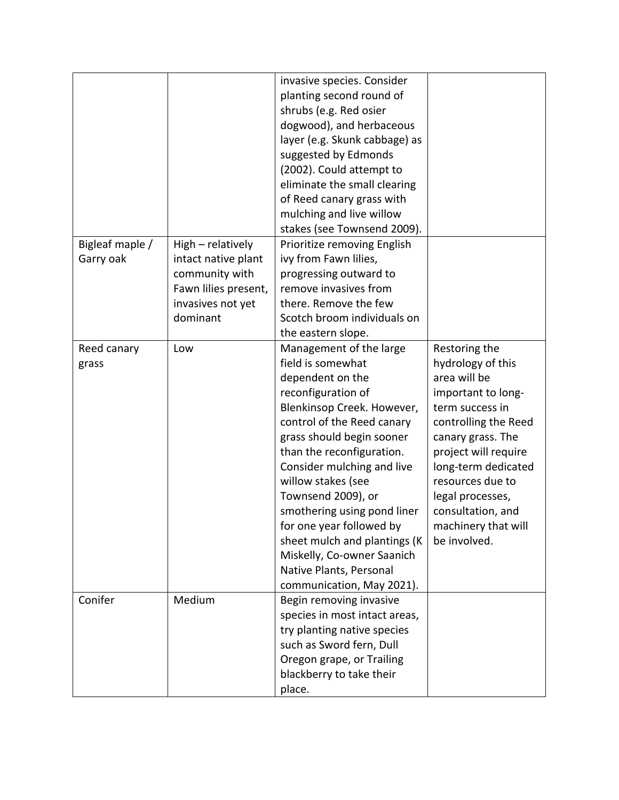|                 |                      | invasive species. Consider    |                      |
|-----------------|----------------------|-------------------------------|----------------------|
|                 |                      |                               |                      |
|                 |                      | planting second round of      |                      |
|                 |                      | shrubs (e.g. Red osier        |                      |
|                 |                      | dogwood), and herbaceous      |                      |
|                 |                      | layer (e.g. Skunk cabbage) as |                      |
|                 |                      | suggested by Edmonds          |                      |
|                 |                      | (2002). Could attempt to      |                      |
|                 |                      | eliminate the small clearing  |                      |
|                 |                      | of Reed canary grass with     |                      |
|                 |                      | mulching and live willow      |                      |
|                 |                      | stakes (see Townsend 2009).   |                      |
| Bigleaf maple / | High - relatively    | Prioritize removing English   |                      |
| Garry oak       | intact native plant  | ivy from Fawn lilies,         |                      |
|                 | community with       | progressing outward to        |                      |
|                 | Fawn lilies present, | remove invasives from         |                      |
|                 | invasives not yet    | there. Remove the few         |                      |
|                 | dominant             | Scotch broom individuals on   |                      |
|                 |                      | the eastern slope.            |                      |
| Reed canary     | Low                  | Management of the large       | Restoring the        |
| grass           |                      | field is somewhat             | hydrology of this    |
|                 |                      | dependent on the              | area will be         |
|                 |                      | reconfiguration of            | important to long-   |
|                 |                      | Blenkinsop Creek. However,    | term success in      |
|                 |                      | control of the Reed canary    | controlling the Reed |
|                 |                      | grass should begin sooner     | canary grass. The    |
|                 |                      | than the reconfiguration.     | project will require |
|                 |                      | Consider mulching and live    | long-term dedicated  |
|                 |                      | willow stakes (see            | resources due to     |
|                 |                      | Townsend 2009), or            | legal processes,     |
|                 |                      | smothering using pond liner   | consultation, and    |
|                 |                      | for one year followed by      | machinery that will  |
|                 |                      | sheet mulch and plantings (K) | be involved.         |
|                 |                      | Miskelly, Co-owner Saanich    |                      |
|                 |                      | Native Plants, Personal       |                      |
|                 |                      |                               |                      |
|                 |                      | communication, May 2021).     |                      |
| Conifer         | Medium               | Begin removing invasive       |                      |
|                 |                      | species in most intact areas, |                      |
|                 |                      | try planting native species   |                      |
|                 |                      | such as Sword fern, Dull      |                      |
|                 |                      | Oregon grape, or Trailing     |                      |
|                 |                      | blackberry to take their      |                      |
|                 |                      | place.                        |                      |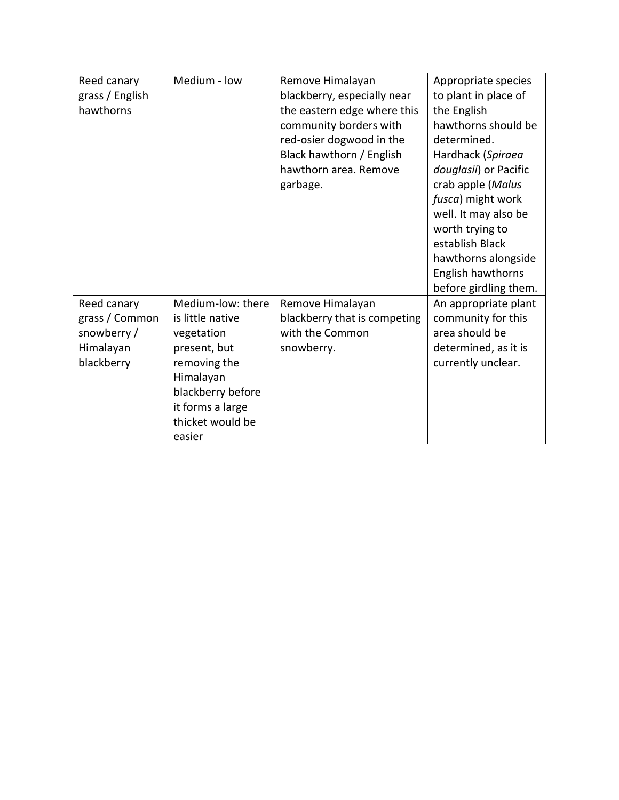| Reed canary     | Medium - low      | Remove Himalayan             | Appropriate species   |
|-----------------|-------------------|------------------------------|-----------------------|
| grass / English |                   | blackberry, especially near  | to plant in place of  |
| hawthorns       |                   | the eastern edge where this  | the English           |
|                 |                   | community borders with       | hawthorns should be   |
|                 |                   | red-osier dogwood in the     | determined.           |
|                 |                   | Black hawthorn / English     | Hardhack (Spiraea     |
|                 |                   | hawthorn area. Remove        | douglasii) or Pacific |
|                 |                   | garbage.                     | crab apple (Malus     |
|                 |                   |                              | fusca) might work     |
|                 |                   |                              | well. It may also be  |
|                 |                   |                              | worth trying to       |
|                 |                   |                              | establish Black       |
|                 |                   |                              | hawthorns alongside   |
|                 |                   |                              | English hawthorns     |
|                 |                   |                              | before girdling them. |
| Reed canary     | Medium-low: there | Remove Himalayan             | An appropriate plant  |
| grass / Common  | is little native  | blackberry that is competing | community for this    |
| snowberry/      | vegetation        | with the Common              | area should be        |
| Himalayan       | present, but      | snowberry.                   | determined, as it is  |
| blackberry      | removing the      |                              | currently unclear.    |
|                 | Himalayan         |                              |                       |
|                 | blackberry before |                              |                       |
|                 | it forms a large  |                              |                       |
|                 | thicket would be  |                              |                       |
|                 | easier            |                              |                       |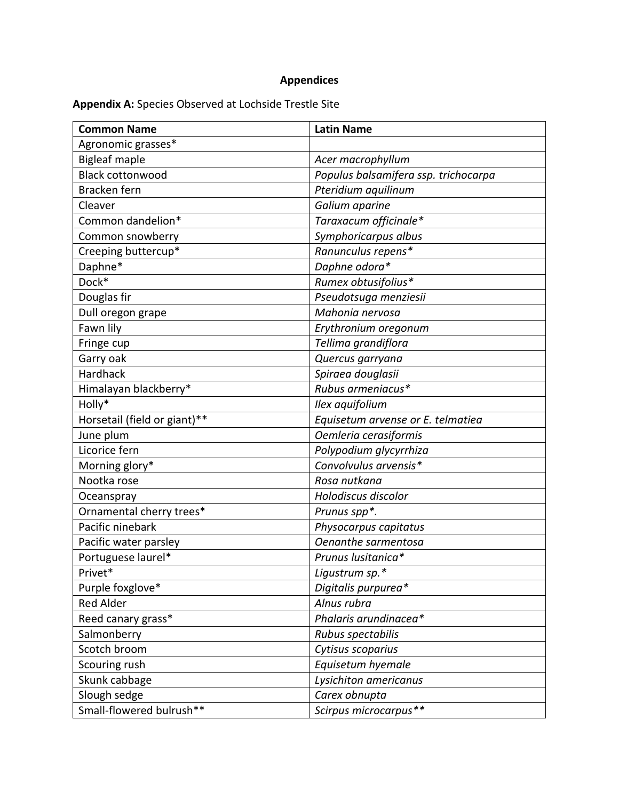# **Appendices**

# **Appendix A:** Species Observed at Lochside Trestle Site

| <b>Common Name</b>           | <b>Latin Name</b>                    |
|------------------------------|--------------------------------------|
| Agronomic grasses*           |                                      |
| <b>Bigleaf maple</b>         | Acer macrophyllum                    |
| <b>Black cottonwood</b>      | Populus balsamifera ssp. trichocarpa |
| Bracken fern                 | Pteridium aquilinum                  |
| Cleaver                      | Galium aparine                       |
| Common dandelion*            | Taraxacum officinale*                |
| Common snowberry             | Symphoricarpus albus                 |
| Creeping buttercup*          | Ranunculus repens*                   |
| Daphne*                      | Daphne odora*                        |
| Dock*                        | Rumex obtusifolius*                  |
| Douglas fir                  | Pseudotsuga menziesii                |
| Dull oregon grape            | Mahonia nervosa                      |
| Fawn lily                    | Erythronium oregonum                 |
| Fringe cup                   | Tellima grandiflora                  |
| Garry oak                    | Quercus garryana                     |
| Hardhack                     | Spiraea douglasii                    |
| Himalayan blackberry*        | Rubus armeniacus*                    |
| Holly*                       | Ilex aquifolium                      |
| Horsetail (field or giant)** | Equisetum arvense or E. telmatiea    |
| June plum                    | Oemleria cerasiformis                |
| Licorice fern                | Polypodium glycyrrhiza               |
| Morning glory*               | Convolvulus arvensis*                |
| Nootka rose                  | Rosa nutkana                         |
| Oceanspray                   | Holodiscus discolor                  |
| Ornamental cherry trees*     | Prunus spp*.                         |
| Pacific ninebark             | Physocarpus capitatus                |
| Pacific water parsley        | Oenanthe sarmentosa                  |
| Portuguese laurel*           | Prunus lusitanica*                   |
| Privet*                      | Ligustrum sp.*                       |
| Purple foxglove*             | Digitalis purpurea*                  |
| <b>Red Alder</b>             | Alnus rubra                          |
| Reed canary grass*           | Phalaris arundinacea*                |
| Salmonberry                  | Rubus spectabilis                    |
| Scotch broom                 | Cytisus scoparius                    |
| Scouring rush                | Equisetum hyemale                    |
| Skunk cabbage                | Lysichiton americanus                |
| Slough sedge                 | Carex obnupta                        |
| Small-flowered bulrush**     | Scirpus microcarpus**                |